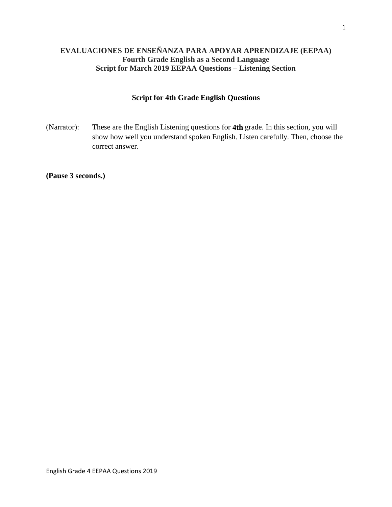# **EVALUACIONES DE ENSEÑANZA PARA APOYAR APRENDIZAJE (EEPAA) Fourth Grade English as a Second Language Script for March 2019 EEPAA Questions – Listening Section**

## **Script for 4th Grade English Questions**

(Narrator): These are the English Listening questions for **4th** grade. In this section, you will show how well you understand spoken English. Listen carefully. Then, choose the correct answer.

**(Pause 3 seconds.)**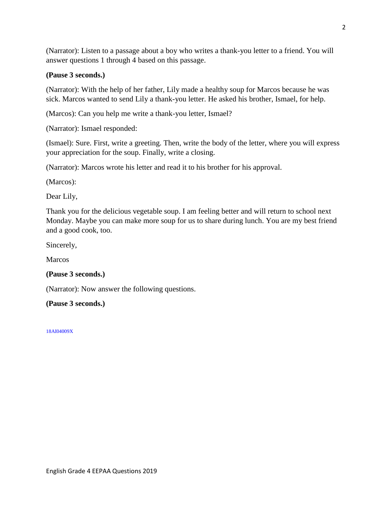(Narrator): Listen to a passage about a boy who writes a thank-you letter to a friend. You will answer questions 1 through 4 based on this passage.

## **(Pause 3 seconds.)**

(Narrator): With the help of her father, Lily made a healthy soup for Marcos because he was sick. Marcos wanted to send Lily a thank-you letter. He asked his brother, Ismael, for help.

(Marcos): Can you help me write a thank-you letter, Ismael?

(Narrator): Ismael responded:

(Ismael): Sure. First, write a greeting. Then, write the body of the letter, where you will express your appreciation for the soup. Finally, write a closing.

(Narrator): Marcos wrote his letter and read it to his brother for his approval.

(Marcos):

Dear Lily,

Thank you for the delicious vegetable soup. I am feeling better and will return to school next Monday. Maybe you can make more soup for us to share during lunch. You are my best friend and a good cook, too.

Sincerely,

Marcos

## **(Pause 3 seconds.)**

(Narrator): Now answer the following questions.

**(Pause 3 seconds.)**

18AI04009X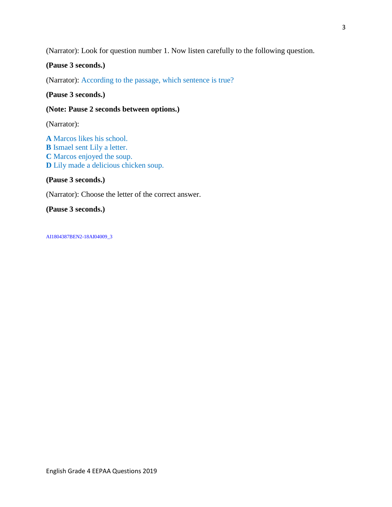(Narrator): Look for question number 1. Now listen carefully to the following question.

## **(Pause 3 seconds.)**

(Narrator): According to the passage, which sentence is true?

#### **(Pause 3 seconds.)**

### **(Note: Pause 2 seconds between options.)**

(Narrator):

**A** Marcos likes his school. **B** Ismael sent Lily a letter. **C** Marcos enjoyed the soup. **D** Lily made a delicious chicken soup.

#### **(Pause 3 seconds.)**

(Narrator): Choose the letter of the correct answer.

#### **(Pause 3 seconds.)**

AI1804387BEN2-18AI04009\_3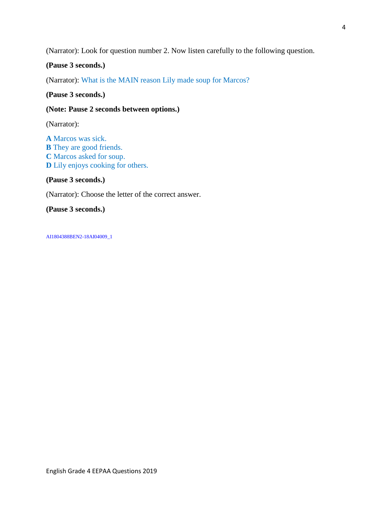(Narrator): Look for question number 2. Now listen carefully to the following question.

**(Pause 3 seconds.)**

(Narrator): What is the MAIN reason Lily made soup for Marcos?

**(Pause 3 seconds.)**

#### **(Note: Pause 2 seconds between options.)**

(Narrator):

**A** Marcos was sick. **B** They are good friends. **C** Marcos asked for soup. **D** Lily enjoys cooking for others.

**(Pause 3 seconds.)**

(Narrator): Choose the letter of the correct answer.

**(Pause 3 seconds.)**

AI1804388BEN2-18AI04009\_1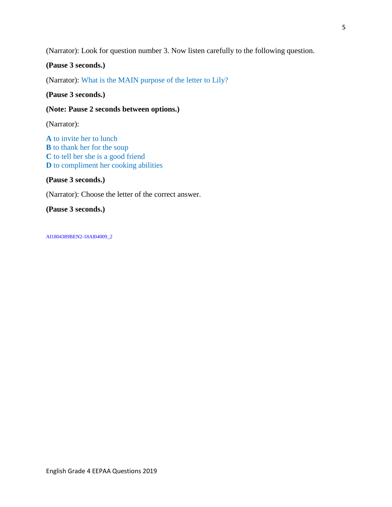(Narrator): Look for question number 3. Now listen carefully to the following question.

**(Pause 3 seconds.)**

(Narrator): What is the MAIN purpose of the letter to Lily?

**(Pause 3 seconds.)**

### **(Note: Pause 2 seconds between options.)**

(Narrator):

**A** to invite her to lunch **B** to thank her for the soup **C** to tell her she is a good friend **D** to compliment her cooking abilities

**(Pause 3 seconds.)**

(Narrator): Choose the letter of the correct answer.

**(Pause 3 seconds.)**

AI1804389BEN2-18AI04009\_2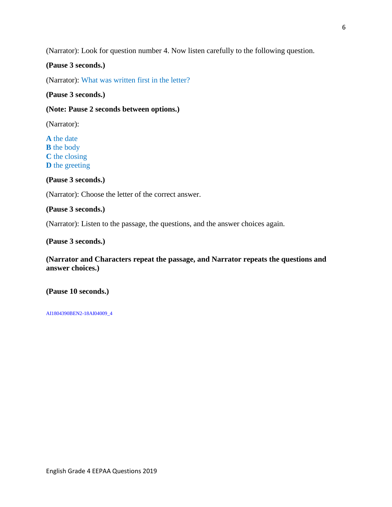(Narrator): Look for question number 4. Now listen carefully to the following question.

## **(Pause 3 seconds.)**

(Narrator): What was written first in the letter?

#### **(Pause 3 seconds.)**

### **(Note: Pause 2 seconds between options.)**

(Narrator):

**A** the date **B** the body **C** the closing **D** the greeting

**(Pause 3 seconds.)**

(Narrator): Choose the letter of the correct answer.

#### **(Pause 3 seconds.)**

(Narrator): Listen to the passage, the questions, and the answer choices again.

**(Pause 3 seconds.)**

**(Narrator and Characters repeat the passage, and Narrator repeats the questions and answer choices.)**

**(Pause 10 seconds.)**

AI1804390BEN2-18AI04009\_4